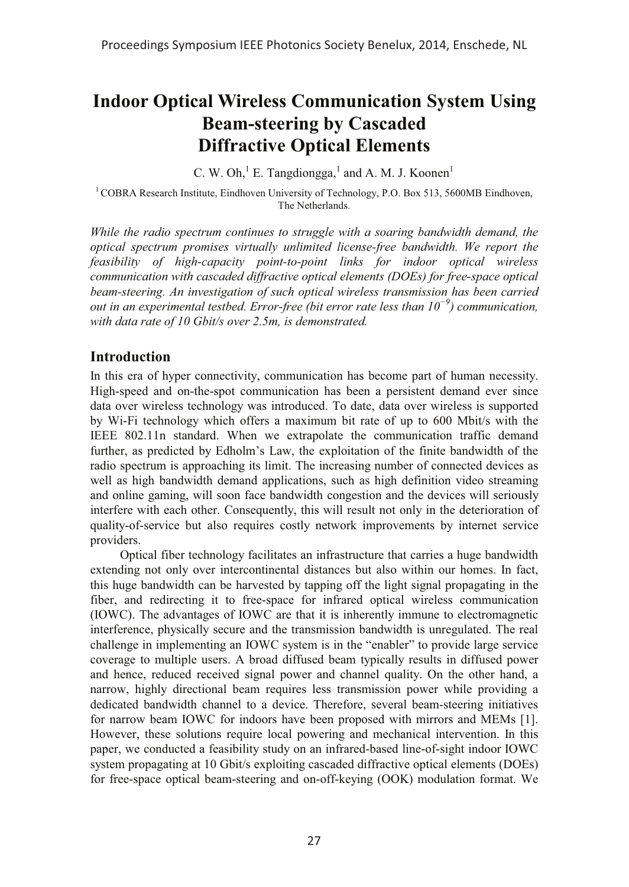# **Indoor Optical Wireless Communication System Using Beam-steering by Cascaded Diffractive Optical Elements**

C. W. Oh, $^1$  E. Tangdiongga, $^1$  and A. M. J. Koonen<sup>1</sup>

<sup>1</sup> COBRA Research Institute, Eindhoven University of Technology, P.O. Box 513, 5600MB Eindhoven, The Netherlands.

*While the radio spectrum continues to struggle with a soaring bandwidth demand, the optical spectrum promises virtually unlimited license-free bandwidth. We report the feasibility of high-capacity point-to-point links for indoor optical wireless communication with cascaded diffractive optical elements (DOEs) for free-space optical beam-steering. An investigation of such optical wireless transmission has been carried out in an experimental testbed. Error-free (bit error rate less than 10-) communication, with data rate of 10 Gbit/s over 2.5m, is demonstrated.*

### **Introduction**

In this era of hyper connectivity, communication has become part of human necessity. High-speed and on-the-spot communication has been a persistent demand ever since data over wireless technology was introduced. To date, data over wireless is supported by Wi-Fi technology which offers a maximum bit rate of up to 600 Mbit/s with the IEEE 802.11n standard. When we extrapolate the communication traffic demand further, as predicted by Edholm's Law, the exploitation of the finite bandwidth of the radio spectrum is approaching its limit. The increasing number of connected devices as well as high bandwidth demand applications, such as high definition video streaming and online gaming, will soon face bandwidth congestion and the devices will seriously interfere with each other. Consequently, this will result not only in the deterioration of quality-of-service but also requires costly network improvements by internet service providers.

Optical fiber technology facilitates an infrastructure that carries a huge bandwidth extending not only over intercontinental distances but also within our homes. In fact, this huge bandwidth can be harvested by tapping off the light signal propagating in the fiber, and redirecting it to free-space for infrared optical wireless communication (IOWC). The advantages of IOWC are that it is inherently immune to electromagnetic interference, physically secure and the transmission bandwidth is unregulated. The real challenge in implementing an IOWC system is in the "enabler" to provide large service coverage to multiple users. A broad diffused beam typically results in diffused power and hence, reduced received signal power and channel quality. On the other hand, a narrow, highly directional beam requires less transmission power while providing a dedicated bandwidth channel to a device. Therefore, several beam-steering initiatives for narrow beam IOWC for indoors have been proposed with mirrors and MEMs [1]. However, these solutions require local powering and mechanical intervention. In this paper, we conducted a feasibility study on an infrared-based line-of-sight indoor IOWC system propagating at 10 Gbit/s exploiting cascaded diffractive optical elements (DOEs) for free-space optical beam-steering and on-off-keying (OOK) modulation format. We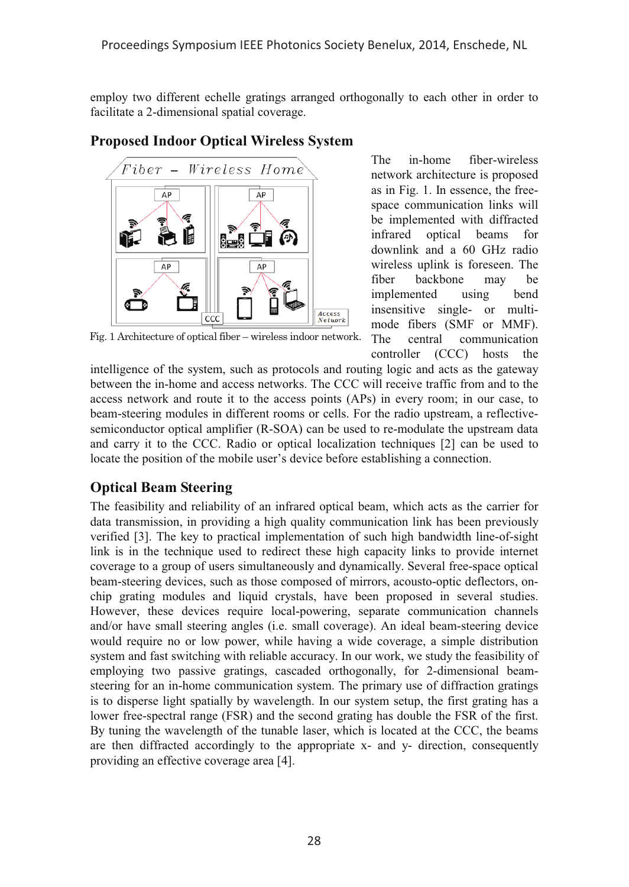employ two different echelle gratings arranged orthogonally to each other in order to facilitate a 2-dimensional spatial coverage.



### **Proposed Indoor Optical Wireless System**

Fig. 1 Architecture of optical fiber – wireless indoor network.

The in-home fiber-wireless network architecture is proposed as in Fig. 1. In essence, the freespace communication links will be implemented with diffracted infrared optical beams for downlink and a 60 GHz radio wireless uplink is foreseen. The fiber backbone may be implemented using bend insensitive single- or multimode fibers (SMF or MMF). The central communication controller (CCC) hosts the

intelligence of the system, such as protocols and routing logic and acts as the gateway between the in-home and access networks. The CCC will receive traffic from and to the access network and route it to the access points (APs) in every room; in our case, to beam-steering modules in different rooms or cells. For the radio upstream, a reflectivesemiconductor optical amplifier (R-SOA) can be used to re-modulate the upstream data and carry it to the CCC. Radio or optical localization techniques [2] can be used to locate the position of the mobile user's device before establishing a connection.

## **Optical Beam Steering**

The feasibility and reliability of an infrared optical beam, which acts as the carrier for data transmission, in providing a high quality communication link has been previously verified [3]. The key to practical implementation of such high bandwidth line-of-sight link is in the technique used to redirect these high capacity links to provide internet coverage to a group of users simultaneously and dynamically. Several free-space optical beam-steering devices, such as those composed of mirrors, acousto-optic deflectors, onchip grating modules and liquid crystals, have been proposed in several studies. However, these devices require local-powering, separate communication channels and/or have small steering angles (i.e. small coverage). An ideal beam-steering device would require no or low power, while having a wide coverage, a simple distribution system and fast switching with reliable accuracy. In our work, we study the feasibility of employing two passive gratings, cascaded orthogonally, for 2-dimensional beamsteering for an in-home communication system. The primary use of diffraction gratings is to disperse light spatially by wavelength. In our system setup, the first grating has a lower free-spectral range (FSR) and the second grating has double the FSR of the first. By tuning the wavelength of the tunable laser, which is located at the CCC, the beams are then diffracted accordingly to the appropriate x- and y- direction, consequently providing an effective coverage area [4].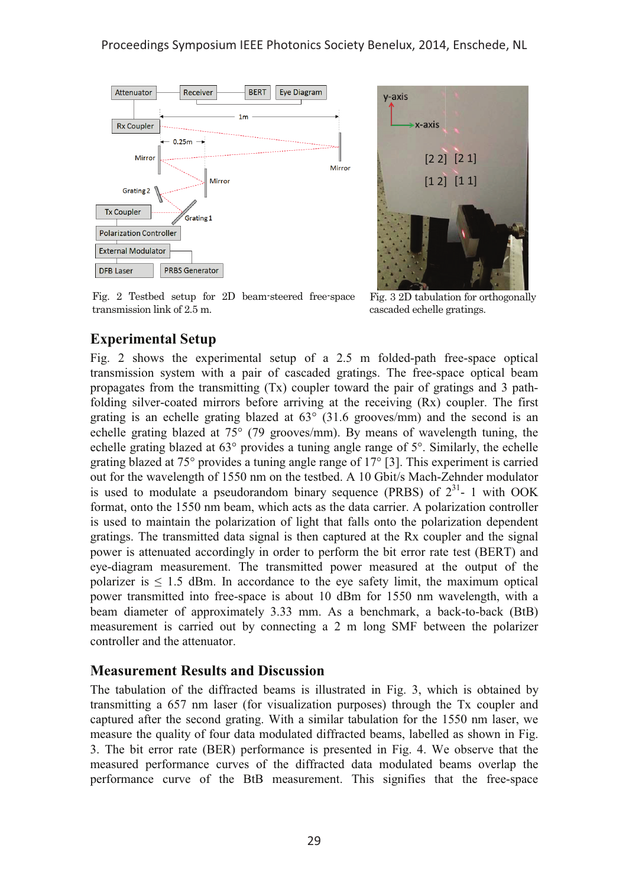



Fig. 2 Testbed setup for 2D beam-steered free-space transmission link of 2.5 m.

Fig. 3 2D tabulation for orthogonally cascaded echelle gratings.

### **Experimental Setup**

Fig. 2 shows the experimental setup of a 2.5 m folded-path free-space optical transmission system with a pair of cascaded gratings. The free-space optical beam propagates from the transmitting (Tx) coupler toward the pair of gratings and 3 pathfolding silver-coated mirrors before arriving at the receiving (Rx) coupler. The first grating is an echelle grating blazed at 63° (31.6 grooves/mm) and the second is an echelle grating blazed at 75° (79 grooves/mm). By means of wavelength tuning, the echelle grating blazed at 63° provides a tuning angle range of 5°. Similarly, the echelle grating blazed at 75° provides a tuning angle range of 17° [3]. This experiment is carried out for the wavelength of 1550 nm on the testbed. A 10 Gbit/s Mach-Zehnder modulator is used to modulate a pseudorandom binary sequence (PRBS) of  $2^{31}$ - 1 with OOK format, onto the 1550 nm beam, which acts as the data carrier. A polarization controller is used to maintain the polarization of light that falls onto the polarization dependent gratings. The transmitted data signal is then captured at the Rx coupler and the signal power is attenuated accordingly in order to perform the bit error rate test (BERT) and eye-diagram measurement. The transmitted power measured at the output of the polarizer is  $\leq 1.5$  dBm. In accordance to the eye safety limit, the maximum optical power transmitted into free-space is about 10 dBm for 1550 nm wavelength, with a beam diameter of approximately 3.33 mm. As a benchmark, a back-to-back (BtB) measurement is carried out by connecting a 2 m long SMF between the polarizer controller and the attenuator.

#### **Measurement Results and Discussion**

The tabulation of the diffracted beams is illustrated in Fig. 3, which is obtained by transmitting a 657 nm laser (for visualization purposes) through the Tx coupler and captured after the second grating. With a similar tabulation for the 1550 nm laser, we measure the quality of four data modulated diffracted beams, labelled as shown in Fig. 3. The bit error rate (BER) performance is presented in Fig. 4. We observe that the measured performance curves of the diffracted data modulated beams overlap the performance curve of the BtB measurement. This signifies that the free-space